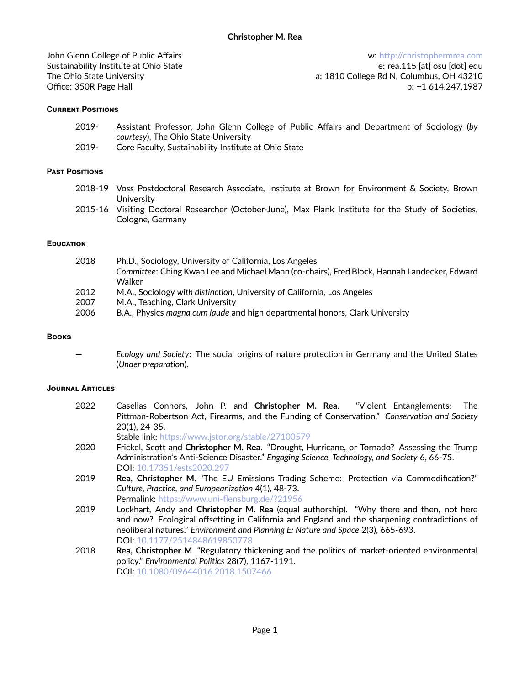John Glenn College of Public Affairs Sustainability Institute at Ohio State The Ohio State University Office: 350R Page Hall

w: ht[tp://christophermrea.com](http://christophermrea.com) e: rea.115 [at] osu [dot] edu a: 1810 College Rd N, Columbus, OH 43210 p: +1 614.247.1987

### **Current Positions**

- 2019- Assistant Professor, John Glenn College of Public Affairs and Department of Sociology (*by courtesy*), The Ohio State University
- 2019- Core Faculty, Sustainability Institute at Ohio State

### **Past Positions**

- 2018-19 Voss Postdoctoral Research Associate, Institute at Brown for Environment & Society, Brown **University**
- 2015-16 Visiting Doctoral Researcher (October-June), Max Plank Institute for the Study of Societies, Cologne, Germany

### **Education**

| 2018 | Ph.D., Sociology, University of California, Los Angeles                                      |
|------|----------------------------------------------------------------------------------------------|
|      | Committee: Ching Kwan Lee and Michael Mann (co-chairs), Fred Block, Hannah Landecker, Edward |
|      | Walker                                                                                       |
| 2012 | M.A., Sociology with distinction, University of California, Los Angeles                      |
| 2007 | M.A., Teaching, Clark University                                                             |
| 2006 | B.A., Physics magna cum laude and high departmental honors, Clark University                 |

### **Books**

— *Ecology and Society*: The social origins of nature protection in Germany and the United States (*Under preparation*).

### **Journal Articles**

2022 Casellas Connors, John P. and **Christopher M. Rea**. "Violent Entanglements: The Pittman-Robertson Act, Firearms, and the Funding of Conservation." *Conservation and Society* 20(1), 24-35.

Stable link: https://w[ww.jstor.org/stable/27100579](https://www.jstor.org/stable/27100579)

- 2020 Frickel, Scott and **Christopher M. Rea**. "Drought, Hurricane, or Tornado? Assessing the Trump Administration's Anti-Science Disaster." *Engaging Science, Technology, and Society* 6, 66-75. DOI: 10.1[7351/ests2020.297](https://doi.org/10.17351/ests2020.297)
- 2019 **Rea, Christopher M**. "The EU Emissions Trading Scheme: Protection via Commodification?" *Culture, Practice, and Europeanization* 4(1), 48-73.

Permalink: https://www.uni-fl[ensburg.de/?21956](https://www.uni-flensburg.de/?21956)

- 2019 Lockhart, Andy and **Christopher M. Rea** (equal authorship). "Why there and then, not here and now? Ecological offsetting in California and England and the sharpening contradictions of neoliberal natures." *Environment and Planning E: Nature and Space* 2(3), 665-693. DOI: 10.1[177/2514848619850778](https://doi.org/10.1177/2514848619850778)
- 2018 **Rea, Christopher M**. "Regulatory thickening and the politics of market-oriented environmental policy." *Environmental Politics* 28(7), 1167-1191. DOI: 10.1[080/09644016.2018.1507466](https://doi.org/10.1080/09644016.2018.1507466)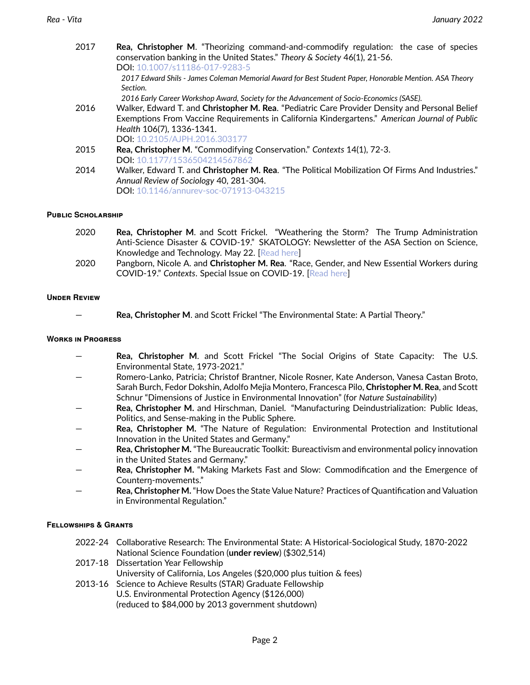| 2017 | <b>Rea, Christopher M.</b> "Theorizing command-and-commodify regulation: the case of species<br>conservation banking in the United States." Theory & Society 46(1), 21-56. |
|------|----------------------------------------------------------------------------------------------------------------------------------------------------------------------------|
|      | DOI: 10.1007/s11186-017-9283-5                                                                                                                                             |
|      | 2017 Edward Shils - James Coleman Memorial Award for Best Student Paper, Honorable Mention. ASA Theory<br>Section.                                                         |
|      | 2016 Early Career Workshop Award, Society for the Advancement of Socio-Economics (SASE).                                                                                   |
| 2016 | Walker, Edward T. and Christopher M. Rea. "Pediatric Care Provider Density and Personal Belief                                                                             |
|      | Exemptions From Vaccine Requirements in California Kindergartens." American Journal of Public                                                                              |
|      | Health 106(7), 1336-1341.                                                                                                                                                  |
|      | DOI: 10.2105/AJPH.2016.303177                                                                                                                                              |
| 2015 | Rea, Christopher M. "Commodifying Conservation." Contexts 14(1), 72-3.                                                                                                     |
|      | DOI: 10.1177/1536504214567862                                                                                                                                              |
| 2014 | Walker, Edward T. and Christopher M. Rea. "The Political Mobilization Of Firms And Industries."                                                                            |
|      | Annual Review of Sociology 40, 281-304.                                                                                                                                    |
|      | DOI: 10.1146/annurev-soc-071913-043215                                                                                                                                     |

### **Public Scholarship**

| 2020 | <b>Rea, Christopher M.</b> and Scott Frickel. "Weathering the Storm? The Trump Administration |
|------|-----------------------------------------------------------------------------------------------|
|      | Anti-Science Disaster & COVID-19." SKATOLOGY: Newsletter of the ASA Section on Science,       |
|      | Knowledge and Technology. May 22. [Read here]                                                 |
| 2020 | Pangborn, Nicole A. and Christopher M. Rea. "Race, Gender, and New Essential Workers during   |
|      | COVID-19." Contexts. Special Issue on COVID-19. [Read here]                                   |

### **Under Review**

— **Rea, Christopher M**. and Scott Frickel "The Environmental State: A Partial Theory."

#### **Works in Progress**

- **Rea, Christopher M**. and Scott Frickel "The Social Origins of State Capacity: The U.S. Environmental State, 1973-2021."
- Romero-Lanko, Patricia; Christof Brantner, Nicole Rosner, Kate Anderson, Vanesa Castan Broto, Sarah Burch, Fedor Dokshin, Adolfo Mejia Montero, Francesca Pilo, **Christopher M. Rea**, and Scott Schnur "Dimensions of Justice in Environmental Innovation" (for *Nature Sustainability*)
- **Rea, Christopher M.** and Hirschman, Daniel. "Manufacturing Deindustrialization: Public Ideas, Politics, and Sense-making in the Public Sphere.
- **Rea, Christopher M.** "The Nature of Regulation: Environmental Protection and Institutional Innovation in the United States and Germany."
- **Rea, Christopher M.** "The Bureaucratic Toolkit: Bureactivism and environmental policy innovation in the United States and Germany."
- **Rea, Christopher M.** "Making Markets Fast and Slow: Commodification and the Emergence of Counterŋ-movements."
- **Rea, Christopher M.**"How Does the State Value Nature? Practices of Quantification and Valuation in Environmental Regulation."

### **Fellowships & Grants**

- 2022-24 Collaborative Research: The Environmental State: A Historical-Sociological Study, 1870-2022 National Science Foundation (**under review**) (\$302,514)
- 2017-18 Dissertation Year Fellowship

University of California, Los Angeles (\$20,000 plus tuition & fees)

2013-16 Science to Achieve Results (STAR) Graduate Fellowship U.S. Environmental Protection Agency (\$126,000) (reduced to \$84,000 by 2013 government shutdown)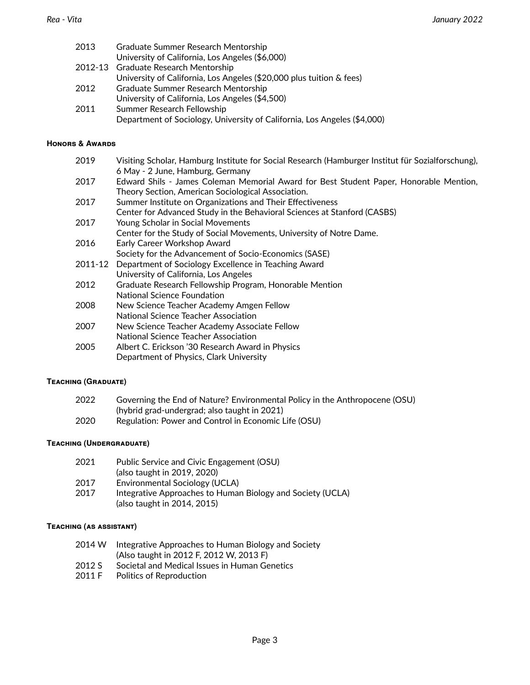| 2013 | Graduate Summer Research Mentorship                                      |
|------|--------------------------------------------------------------------------|
|      | University of California, Los Angeles (\$6,000)                          |
|      | 2012-13 Graduate Research Mentorship                                     |
|      | University of California, Los Angeles (\$20,000 plus tuition & fees)     |
| 2012 | Graduate Summer Research Mentorship                                      |
|      | University of California, Los Angeles (\$4,500)                          |
| 2011 | Summer Research Fellowship                                               |
|      | Department of Sociology, University of California, Los Angeles (\$4,000) |

### **Honors & Awards**

| 2019    | Visiting Scholar, Hamburg Institute for Social Research (Hamburger Institut für Sozialforschung),                          |
|---------|----------------------------------------------------------------------------------------------------------------------------|
| 2017    | 6 May - 2 June, Hamburg, Germany<br>Edward Shils - James Coleman Memorial Award for Best Student Paper, Honorable Mention, |
|         | Theory Section, American Sociological Association.                                                                         |
| 2017    | Summer Institute on Organizations and Their Effectiveness                                                                  |
|         | Center for Advanced Study in the Behavioral Sciences at Stanford (CASBS)                                                   |
| 2017    | Young Scholar in Social Movements                                                                                          |
|         | Center for the Study of Social Movements, University of Notre Dame.                                                        |
| 2016    | Early Career Workshop Award                                                                                                |
|         | Society for the Advancement of Socio-Economics (SASE)                                                                      |
| 2011-12 | Department of Sociology Excellence in Teaching Award                                                                       |
|         | University of California, Los Angeles                                                                                      |
| 2012    | Graduate Research Fellowship Program, Honorable Mention                                                                    |
|         | National Science Foundation                                                                                                |
| 2008    | New Science Teacher Academy Amgen Fellow                                                                                   |
|         | National Science Teacher Association                                                                                       |
| 2007    | New Science Teacher Academy Associate Fellow                                                                               |
|         | National Science Teacher Association                                                                                       |
| 2005    | Albert C. Erickson '30 Research Award in Physics                                                                           |
|         | Department of Physics, Clark University                                                                                    |
|         |                                                                                                                            |

# **Teaching (Graduate)**

| 2022 | Governing the End of Nature? Environmental Policy in the Anthropocene (OSU) |
|------|-----------------------------------------------------------------------------|
|      | (hybrid grad-undergrad; also taught in 2021)                                |
| 2020 | Regulation: Power and Control in Economic Life (OSU)                        |

# **Teaching (Undergraduate)**

| 2021 | Public Service and Civic Engagement (OSU)                  |
|------|------------------------------------------------------------|
|      | (also taught in 2019, 2020)                                |
| 2017 | Environmental Sociology (UCLA)                             |
| 2017 | Integrative Approaches to Human Biology and Society (UCLA) |
|      | (also taught in 2014, 2015)                                |

# **Teaching (as assistant)**

| 2014 W | Integrative Approaches to Human Biology and Society |
|--------|-----------------------------------------------------|
|        | (Also taught in 2012 F, 2012 W, 2013 F)             |
| 0.010C |                                                     |

- 2012 S Societal and Medical Issues in Human Genetics<br>2011 F Politics of Reproduction
- Politics of Reproduction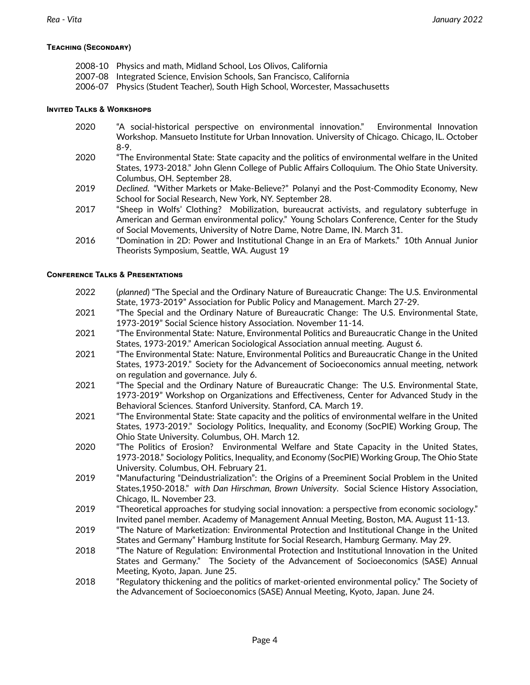## **Teaching (Secondary)**

- 2008-10 Physics and math, Midland School, Los Olivos, California
- 2007-08 Integrated Science, Envision Schools, San Francisco, California
- 2006-07 Physics (Student Teacher), South High School, Worcester, Massachusetts

### **Invited Talks & Workshops**

- 2020 "A social-historical perspective on environmental innovation." Environmental Innovation Workshop. Mansueto Institute for Urban Innovation. University of Chicago. Chicago, IL. October 8-9.
- 2020 "The Environmental State: State capacity and the politics of environmental welfare in the United States, 1973-2018." John Glenn College of Public Affairs Colloquium. The Ohio State University. Columbus, OH. September 28.
- 2019 *Declined.* "Wither Markets or Make-Believe?" Polanyi and the Post-Commodity Economy, New School for Social Research, New York, NY. September 28.
- 2017 "Sheep in Wolfs' Clothing? Mobilization, bureaucrat activists, and regulatory subterfuge in American and German environmental policy." Young Scholars Conference, Center for the Study of Social Movements, University of Notre Dame, Notre Dame, IN. March 31.
- 2016 "Domination in 2D: Power and Institutional Change in an Era of Markets." 10th Annual Junior Theorists Symposium, Seattle, WA. August 19

### **Conference Talks & Presentations**

- 2022 (*planned*) "The Special and the Ordinary Nature of Bureaucratic Change: The U.S. Environmental State, 1973-2019" Association for Public Policy and Management. March 27-29.
- 2021 "The Special and the Ordinary Nature of Bureaucratic Change: The U.S. Environmental State, 1973-2019" Social Science history Association. November 11-14.
- 2021 "The Environmental State: Nature, Environmental Politics and Bureaucratic Change in the United States, 1973-2019." American Sociological Association annual meeting. August 6.
- 2021 "The Environmental State: Nature, Environmental Politics and Bureaucratic Change in the United States, 1973-2019." Society for the Advancement of Socioeconomics annual meeting, network on regulation and governance. July 6.
- 2021 "The Special and the Ordinary Nature of Bureaucratic Change: The U.S. Environmental State, 1973-2019" Workshop on Organizations and Effectiveness, Center for Advanced Study in the Behavioral Sciences. Stanford University. Stanford, CA. March 19.
- 2021 "The Environmental State: State capacity and the politics of environmental welfare in the United States, 1973-2019." Sociology Politics, Inequality, and Economy (SocPIE) Working Group, The Ohio State University. Columbus, OH. March 12.
- 2020 "The Politics of Erosion? Environmental Welfare and State Capacity in the United States, 1973-2018." Sociology Politics, Inequality, and Economy (SocPIE) Working Group, The Ohio State University. Columbus, OH. February 21.
- 2019 "Manufacturing "Deindustrialization": the Origins of a Preeminent Social Problem in the United States,1950-2018." *with Dan Hirschman, Brown University*. Social Science History Association, Chicago, IL. November 23.
- 2019 "Theoretical approaches for studying social innovation: a perspective from economic sociology." Invited panel member. Academy of Management Annual Meeting, Boston, MA. August 11-13.
- 2019 "The Nature of Marketization: Environmental Protection and Institutional Change in the United States and Germany" Hamburg Institute for Social Research, Hamburg Germany. May 29.
- 2018 "The Nature of Regulation: Environmental Protection and Institutional Innovation in the United States and Germany." The Society of the Advancement of Socioeconomics (SASE) Annual Meeting, Kyoto, Japan. June 25.
- 2018 "Regulatory thickening and the politics of market-oriented environmental policy." The Society of the Advancement of Socioeconomics (SASE) Annual Meeting, Kyoto, Japan. June 24.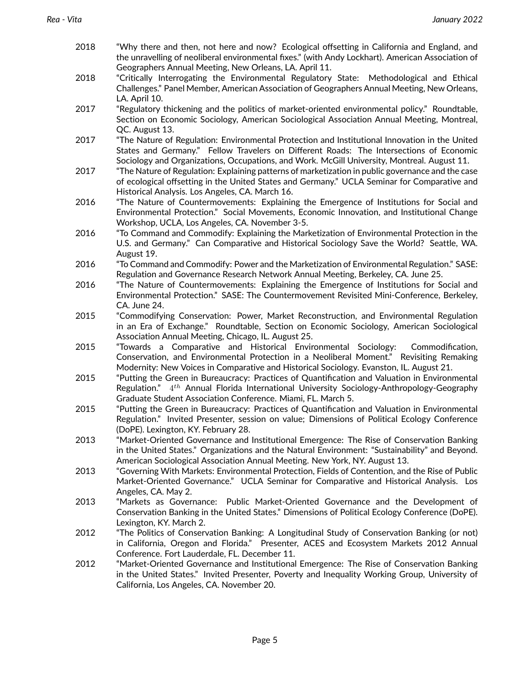- 2018 "Why there and then, not here and now? Ecological offsetting in California and England, and the unravelling of neoliberal environmental fixes." (with Andy Lockhart). American Association of Geographers Annual Meeting, New Orleans, LA. April 11.
- 2018 "Critically Interrogating the Environmental Regulatory State: Methodological and Ethical Challenges." Panel Member, American Association of Geographers Annual Meeting, New Orleans, LA. April 10.
- 2017 "Regulatory thickening and the politics of market-oriented environmental policy." Roundtable, Section on Economic Sociology, American Sociological Association Annual Meeting, Montreal, QC. August 13.
- 2017 "The Nature of Regulation: Environmental Protection and Institutional Innovation in the United States and Germany." Fellow Travelers on Different Roads: The Intersections of Economic Sociology and Organizations, Occupations, and Work. McGill University, Montreal. August 11.
- 2017 "The Nature of Regulation: Explaining patterns of marketization in public governance and the case of ecological offsetting in the United States and Germany." UCLA Seminar for Comparative and Historical Analysis. Los Angeles, CA. March 16.
- 2016 "The Nature of Countermovements: Explaining the Emergence of Institutions for Social and Environmental Protection." Social Movements, Economic Innovation, and Institutional Change Workshop, UCLA, Los Angeles, CA. November 3-5.
- 2016 "To Command and Commodify: Explaining the Marketization of Environmental Protection in the U.S. and Germany." Can Comparative and Historical Sociology Save the World? Seattle, WA. August 19.
- 2016 "To Command and Commodify: Power and the Marketization of Environmental Regulation." SASE: Regulation and Governance Research Network Annual Meeting, Berkeley, CA. June 25.
- 2016 "The Nature of Countermovements: Explaining the Emergence of Institutions for Social and Environmental Protection." SASE: The Countermovement Revisited Mini-Conference, Berkeley, CA. June 24.
- 2015 "Commodifying Conservation: Power, Market Reconstruction, and Environmental Regulation in an Era of Exchange." Roundtable, Section on Economic Sociology, American Sociological Association Annual Meeting, Chicago, IL. August 25.
- 2015 "Towards a Comparative and Historical Environmental Sociology: Commodification, Conservation, and Environmental Protection in a Neoliberal Moment." Revisiting Remaking Modernity: New Voices in Comparative and Historical Sociology. Evanston, IL. August 21.
- 2015 "Putting the Green in Bureaucracy: Practices of Quantification and Valuation in Environmental Regulation." 4*th* Annual Florida International University Sociology-Anthropology-Geography Graduate Student Association Conference. Miami, FL. March 5.
- 2015 "Putting the Green in Bureaucracy: Practices of Quantification and Valuation in Environmental Regulation." Invited Presenter, session on value; Dimensions of Political Ecology Conference (DoPE). Lexington, KY. February 28.
- 2013 "Market-Oriented Governance and Institutional Emergence: The Rise of Conservation Banking in the United States." Organizations and the Natural Environment: "Sustainability" and Beyond. American Sociological Association Annual Meeting. New York, NY. August 13.
- 2013 "Governing With Markets: Environmental Protection, Fields of Contention, and the Rise of Public Market-Oriented Governance." UCLA Seminar for Comparative and Historical Analysis. Los Angeles, CA. May 2.
- 2013 "Markets as Governance: Public Market-Oriented Governance and the Development of Conservation Banking in the United States." Dimensions of Political Ecology Conference (DoPE). Lexington, KY. March 2.
- 2012 "The Politics of Conservation Banking: A Longitudinal Study of Conservation Banking (or not) in California, Oregon and Florida." Presenter, ACES and Ecosystem Markets 2012 Annual Conference. Fort Lauderdale, FL. December 11.
- 2012 "Market-Oriented Governance and Institutional Emergence: The Rise of Conservation Banking in the United States." Invited Presenter, Poverty and Inequality Working Group, University of California, Los Angeles, CA. November 20.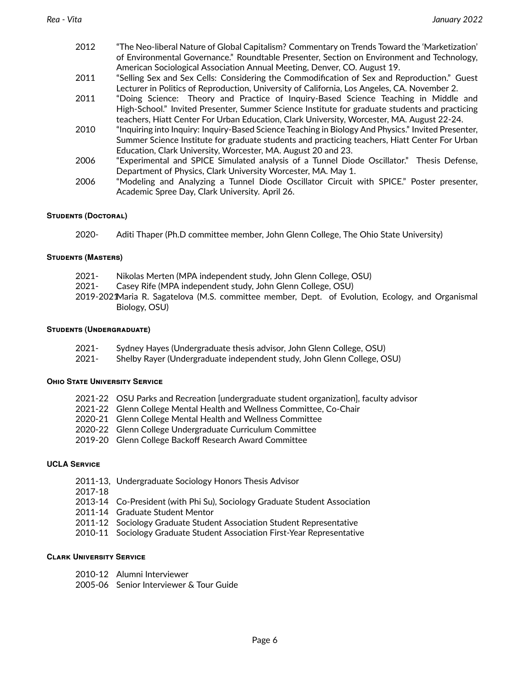| 2012 | "The Neo-liberal Nature of Global Capitalism? Commentary on Trends Toward the 'Marketization'       |
|------|-----------------------------------------------------------------------------------------------------|
|      | of Environmental Governance." Roundtable Presenter, Section on Environment and Technology,          |
|      | American Sociological Association Annual Meeting, Denver, CO. August 19.                            |
| 2011 | "Selling Sex and Sex Cells: Considering the Commodification of Sex and Reproduction." Guest         |
|      | Lecturer in Politics of Reproduction, University of California, Los Angeles, CA. November 2.        |
| 2011 | "Doing Science: Theory and Practice of Inquiry-Based Science Teaching in Middle and                 |
|      | High-School." Invited Presenter, Summer Science Institute for graduate students and practicing      |
|      | teachers, Hiatt Center For Urban Education, Clark University, Worcester, MA. August 22-24.          |
| 2010 | "Inquiring into Inquiry: Inquiry-Based Science Teaching in Biology And Physics." Invited Presenter, |
|      | Summer Science Institute for graduate students and practicing teachers, Hiatt Center For Urban      |
|      | Education, Clark University, Worcester, MA. August 20 and 23.                                       |
| 2006 | "Experimental and SPICE Simulated analysis of a Tunnel Diode Oscillator." Thesis Defense,           |
|      | Department of Physics, Clark University Worcester, MA. May 1.                                       |
| 2006 | "Modeling and Analyzing a Tunnel Diode Oscillator Circuit with SPICE." Poster presenter,            |
|      | Academic Spree Day, Clark University. April 26.                                                     |

### **Students (Doctoral)**

2020- Aditi Thaper (Ph.D committee member, John Glenn College, The Ohio State University)

### **Students (Masters)**

- 2021- Nikolas Merten (MPA independent study, John Glenn College, OSU)
- 2021- Casey Rife (MPA independent study, John Glenn College, OSU)
- 2019-2021Maria R. Sagatelova (M.S. committee member, Dept. of Evolution, Ecology, and Organismal Biology, OSU)

### **Students (Undergraduate)**

- 2021- Sydney Hayes (Undergraduate thesis advisor, John Glenn College, OSU)
- 2021- Shelby Rayer (Undergraduate independent study, John Glenn College, OSU)

### **Ohio State University Service**

- 2021-22 OSU Parks and Recreation [undergraduate student organization], faculty advisor
- 2021-22 Glenn College Mental Health and Wellness Committee, Co-Chair
- 2020-21 Glenn College Mental Health and Wellness Committee
- 2020-22 Glenn College Undergraduate Curriculum Committee
- 2019-20 Glenn College Backoff Research Award Committee

### **UCLA Service**

- 2011-13, Undergraduate Sociology Honors Thesis Advisor
- 2017-18
- 2013-14 Co-President (with Phi Su), Sociology Graduate Student Association
- 2011-14 Graduate Student Mentor
- 2011-12 Sociology Graduate Student Association Student Representative
- 2010-11 Sociology Graduate Student Association First-Year Representative

### **Clark University Service**

- 2010-12 Alumni Interviewer
- 2005-06 Senior Interviewer & Tour Guide